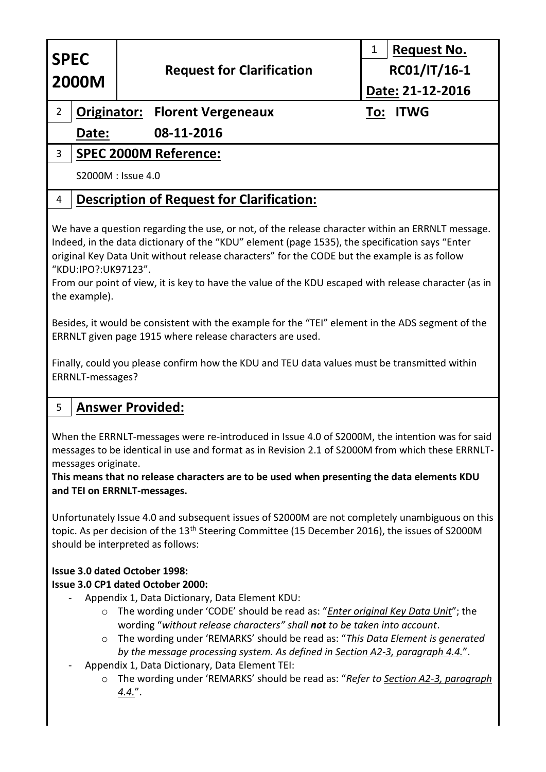| <b>SPEC</b><br><b>2000M</b>                                                                                                                                                                                                                                                                                                                                                                                                                                                                                                                                                                                                                                                                                                             |                              | <b>Request for Clarification</b>                 | 1<br><b>Request No.</b><br>RC01/IT/16-1 |
|-----------------------------------------------------------------------------------------------------------------------------------------------------------------------------------------------------------------------------------------------------------------------------------------------------------------------------------------------------------------------------------------------------------------------------------------------------------------------------------------------------------------------------------------------------------------------------------------------------------------------------------------------------------------------------------------------------------------------------------------|------------------------------|--------------------------------------------------|-----------------------------------------|
|                                                                                                                                                                                                                                                                                                                                                                                                                                                                                                                                                                                                                                                                                                                                         |                              |                                                  | Date: 21-12-2016                        |
| $\overline{2}$                                                                                                                                                                                                                                                                                                                                                                                                                                                                                                                                                                                                                                                                                                                          |                              | <b>Originator: Florent Vergeneaux</b>            | <b>ITWG</b><br>To:                      |
|                                                                                                                                                                                                                                                                                                                                                                                                                                                                                                                                                                                                                                                                                                                                         | Date:                        | 08-11-2016                                       |                                         |
| 3                                                                                                                                                                                                                                                                                                                                                                                                                                                                                                                                                                                                                                                                                                                                       | <b>SPEC 2000M Reference:</b> |                                                  |                                         |
|                                                                                                                                                                                                                                                                                                                                                                                                                                                                                                                                                                                                                                                                                                                                         |                              | S2000M : Issue 4.0                               |                                         |
| 4                                                                                                                                                                                                                                                                                                                                                                                                                                                                                                                                                                                                                                                                                                                                       |                              | <b>Description of Request for Clarification:</b> |                                         |
| We have a question regarding the use, or not, of the release character within an ERRNLT message.<br>Indeed, in the data dictionary of the "KDU" element (page 1535), the specification says "Enter<br>original Key Data Unit without release characters" for the CODE but the example is as follow<br>"KDU:IPO?:UK97123".<br>From our point of view, it is key to have the value of the KDU escaped with release character (as in<br>the example).<br>Besides, it would be consistent with the example for the "TEI" element in the ADS segment of the<br>ERRNLT given page 1915 where release characters are used.<br>Finally, could you please confirm how the KDU and TEU data values must be transmitted within<br>ERRNLT-messages? |                              |                                                  |                                         |
| 5                                                                                                                                                                                                                                                                                                                                                                                                                                                                                                                                                                                                                                                                                                                                       |                              | <b>Answer Provided:</b>                          |                                         |
| When the ERRNLT-messages were re-introduced in Issue 4.0 of S2000M, the intention was for said<br>messages to be identical in use and format as in Revision 2.1 of S2000M from which these ERRNLT-<br>messages originate.<br>This means that no release characters are to be used when presenting the data elements KDU<br>and TEI on ERRNLT-messages.                                                                                                                                                                                                                                                                                                                                                                                  |                              |                                                  |                                         |
| Unfortunately Issue 4.0 and subsequent issues of S2000M are not completely unambiguous on this<br>topic. As per decision of the 13 <sup>th</sup> Steering Committee (15 December 2016), the issues of S2000M<br>should be interpreted as follows:                                                                                                                                                                                                                                                                                                                                                                                                                                                                                       |                              |                                                  |                                         |
| Issue 3.0 dated October 1998:<br>Issue 3.0 CP1 dated October 2000:<br>Appendix 1, Data Dictionary, Data Element KDU:<br>The wording under 'CODE' should be read as: " <i>Enter original Key Data Unit</i> "; the<br>$\circ$<br>wording "without release characters" shall not to be taken into account.                                                                                                                                                                                                                                                                                                                                                                                                                                 |                              |                                                  |                                         |

- o The wording under 'REMARKS' should be read as: "*This Data Element is generated by the message processing system. As defined in Section A2-3, paragraph 4.4.*".
- Appendix 1, Data Dictionary, Data Element TEI:
	- o The wording under 'REMARKS' should be read as: "*Refer to Section A2-3, paragraph 4.4.*".